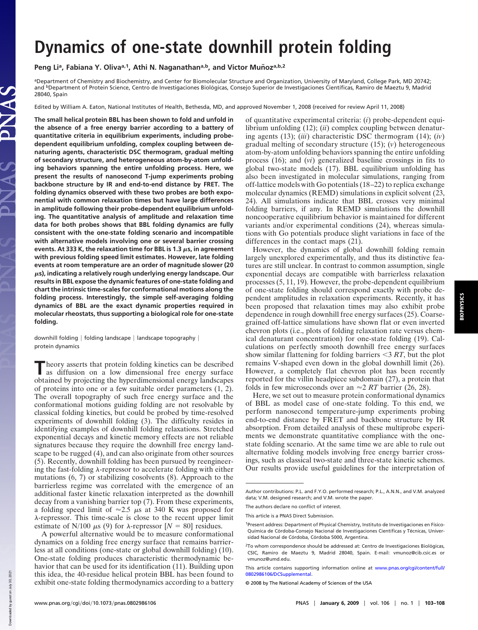## **Dynamics of one-state downhill protein folding**

Peng Li<sup>a</sup>, Fabiana Y. Oliva<sup>a,1</sup>, Athi N. Naganathan<sup>a,b</sup>, and Victor Muñoz<sup>a,b,2</sup>

aDepartment of Chemistry and Biochemistry, and Center for Biomolecular Structure and Organization, University of Maryland, College Park, MD 20742; and <sup>b</sup>Department of Protein Science, Centro de Investigaciones Biológicas, Consejo Superior de Investigaciones Científicas, Ramiro de Maeztu 9, Madrid 28040, Spain

Edited by William A. Eaton, National Institutes of Health, Bethesda, MD, and approved November 1, 2008 (received for review April 11, 2008)

**The small helical protein BBL has been shown to fold and unfold in the absence of a free energy barrier according to a battery of quantitative criteria in equilibrium experiments, including probedependent equilibrium unfolding, complex coupling between denaturing agents, characteristic DSC thermogram, gradual melting of secondary structure, and heterogeneous atom-by-atom unfolding behaviors spanning the entire unfolding process. Here, we present the results of nanosecond T-jump experiments probing backbone structure by IR and end-to-end distance by FRET. The folding dynamics observed with these two probes are both exponential with common relaxation times but have large differences in amplitude following their probe-dependent equilibrium unfolding. The quantitative analysis of amplitude and relaxation time data for both probes shows that BBL folding dynamics are fully consistent with the one-state folding scenario and incompatible with alternative models involving one or several barrier crossing** events. At 333 K, the relaxation time for BBL is 1.3  $\mu$ s, in agreement **with previous folding speed limit estimates. However, late folding events at room temperature are an order of magnitude slower (20 s), indicating a relatively rough underlying energy landscape. Our results in BBL expose the dynamic features of one-state folding and chart the intrinsic time-scales for conformational motions along the folding process. Interestingly, the simple self-averaging folding dynamics of BBL are the exact dynamic properties required in molecular rheostats, thus supporting a biological role for one-state folding.**

downhill folding | folding landscape | landscape topography | protein dynamics

**T** heory asserts that protein folding kinetics can be described as diffusion on a low dimensional free energy surface obtained by projecting the hyperdimensional energy landscapes heory asserts that protein folding kinetics can be described as diffusion on a low dimensional free energy surface of proteins into one or a few suitable order parameters (1, 2). The overall topography of such free energy surface and the conformational motions guiding folding are not resolvable by classical folding kinetics, but could be probed by time-resolved experiments of downhill folding (3). The difficulty resides in identifying examples of downhill folding relaxations. Stretched exponential decays and kinetic memory effects are not reliable signatures because they require the downhill free energy landscape to be rugged (4), and can also originate from other sources (5). Recently, downhill folding has been pursued by reengineering the fast-folding  $\lambda$ -repressor to accelerate folding with either mutations (6, 7) or stabilizing cosolvents (8). Approach to the barrierless regime was correlated with the emergence of an additional faster kinetic relaxation interpreted as the downhill decay from a vanishing barrier top (7). From these experiments, a folding speed limit of  $\approx 2.5$   $\mu$ s at 340 K was proposed for  $\lambda$ -repressor. This time-scale is close to the recent upper limit estimate of N/100  $\mu$ s (9) for  $\lambda$ -repressor [*N* = 80] residues.

A powerful alternative would be to measure conformational dynamics on a folding free energy surface that remains barrierless at all conditions (one-state or global downhill folding) (10). One-state folding produces characteristic thermodynamic behavior that can be used for its identification (11). Building upon this idea, the 40-residue helical protein BBL has been found to exhibit one-state folding thermodynamics according to a battery

of quantitative experimental criteria: (*i*) probe-dependent equilibrium unfolding (12); (*ii*) complex coupling between denaturing agents (13); (*iii*) characteristic DSC thermogram (14); (*iv*) gradual melting of secondary structure (15); (*v*) heterogeneous atom-by-atom unfolding behaviors spanning the entire unfolding process (16); and (*vi*) generalized baseline crossings in fits to global two-state models (17). BBL equilibrium unfolding has also been investigated in molecular simulations, ranging from off-lattice models with Go potentials (18–22) to replica exchange molecular dynamics (REMD) simulations in explicit solvent (23, 24). All simulations indicate that BBL crosses very minimal folding barriers, if any. In REMD simulations the downhill noncooperative equilibrium behavior is maintained for different variants and/or experimental conditions (24), whereas simulations with Go potentials produce slight variations in face of the differences in the contact maps (21).

However, the dynamics of global downhill folding remain largely unexplored experimentally, and thus its distinctive features are still unclear. In contrast to common assumption, single exponential decays are compatible with barrierless relaxation processes (5, 11, 19). However, the probe-dependent equilibrium of one-state folding should correspond exactly with probe dependent amplitudes in relaxation experiments. Recently, it has been proposed that relaxation times may also exhibit probe dependence in rough downhill free energy surfaces (25). Coarsegrained off-lattice simulations have shown flat or even inverted chevron plots (i.e., plots of folding relaxation rate versus chemical denaturant concentration) for one-state folding (19). Calculations on perfectly smooth downhill free energy surfaces show similar flattening for folding barriers  $\leq$  3 *RT*, but the plot remains V-shaped even down in the global downhill limit (26). However, a completely flat chevron plot has been recently reported for the villin headpiece subdomain (27), a protein that folds in few microseconds over an  $\approx 2 RT$  barrier (26, 28).

Here, we set out to measure protein conformational dynamics of BBL as model case of one-state folding. To this end, we perform nanosecond temperature-jump experiments probing end-to-end distance by FRET and backbone structure by IR absorption. From detailed analysis of these multiprobe experiments we demonstrate quantitative compliance with the onestate folding scenario. At the same time we are able to rule out alternative folding models involving free energy barrier crossings, such as classical two-state and three-state kinetic schemes. Our results provide useful guidelines for the interpretation of

Down

Author contributions: P.L. and F.Y.O. performed research; P.L., A.N.N., and V.M. analyzed data; V.M. designed research; and V.M. wrote the paper.

The authors declare no conflict of interest.

This article is a PNAS Direct Submission.

<sup>1</sup>Present address: Department of Physical Chemistry, Instituto de Investigaciones en Físico-Química de Córdoba-Consejo Nacional de Investigaciones Científicas y Técnicas, Universidad Nacional de Córdoba, Córdoba 5000, Argentina.

<sup>&</sup>lt;sup>2</sup>To whom correspondence should be addressed at: Centro de Investigaciones Biológicas, CSIC, Ramiro de Maeztu 9, Madrid 28040, Spain. E-mail: vmunoz@cib.csic.es or vmunoz@umd.edu.

This article contains supporting information online at www.pnas.org/cgi/content/full/ 0802986106/DCSupplemental.

<sup>© 2008</sup> by The National Academy of Sciences of the USA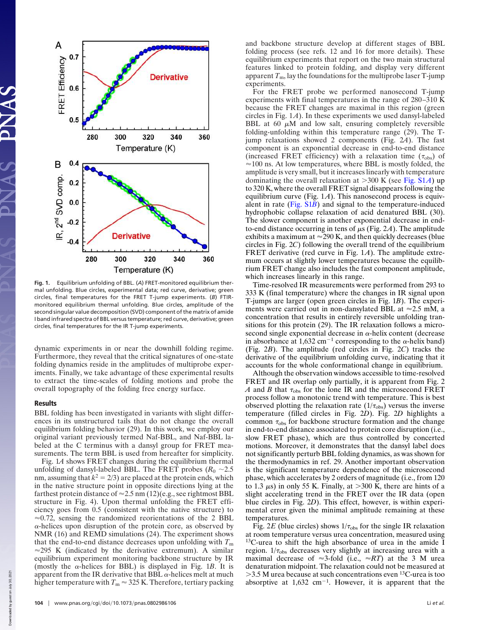

**Fig. 1.** Equilibrium unfolding of BBL. (*A*) FRET-monitored equilibrium thermal unfolding. Blue circles, experimental data; red curve, derivative; green circles, final temperatures for the FRET T-jump experiments. (*B*) FTIRmonitored equilibrium thermal unfolding. Blue circles, amplitude of the second singular value decomposition (SVD) component of the matrix of amide I band infrared spectra of BBL versus temperature; red curve, derivative; green circles, final temperatures for the IR T-jump experiments.

dynamic experiments in or near the downhill folding regime. Furthermore, they reveal that the critical signatures of one-state folding dynamics reside in the amplitudes of multiprobe experiments. Finally, we take advantage of these experimental results to extract the time-scales of folding motions and probe the overall topography of the folding free energy surface.

## Results

BBL folding has been investigated in variants with slight differences in its unstructured tails that do not change the overall equilibrium folding behavior (29). In this work, we employ our original variant previously termed Naf-BBL, and Naf-BBL labeled at the C terminus with a dansyl group for FRET measurements. The term BBL is used from hereafter for simplicity.

Fig. 1*A* shows FRET changes during the equilibrium thermal unfolding of dansyl-labeled BBL. The FRET probes  $(R_0 \sim 2.5)$ nm, assuming that  $k^2 = 2/3$ ) are placed at the protein ends, which in the native structure point in opposite directions lying at the farthest protein distance of  $\approx$  2.5 nm (12)(e.g., see rightmost BBL structure in Fig. 4). Upon thermal unfolding the FRET efficiency goes from 0.5 (consistent with the native structure) to  $\approx 0.72$ , sensing the randomized reorientations of the 2 BBL  $\alpha$ -helices upon disruption of the protein core, as observed by NMR (16) and REMD simulations (24). The experiment shows that the end-to-end distance decreases upon unfolding with  $T<sub>m</sub>$  $\approx$ 295 K (indicated by the derivative extremum). A similar equilibrium experiment monitoring backbone structure by IR (mostly the  $\alpha$ -helices for BBL) is displayed in Fig. 1*B*. It is apparent from the IR derivative that BBL  $\alpha$ -helices melt at much higher temperature with  $T_m \approx 325$  K. Therefore, tertiary packing and backbone structure develop at different stages of BBL folding process (see refs. 12 and 16 for more details). These equilibrium experiments that report on the two main structural features linked to protein folding, and display very different apparent  $T<sub>m</sub>$ , lay the foundations for the multiprobe laser T-jump experiments.

For the FRET probe we performed nanosecond T-jump experiments with final temperatures in the range of 280–310 K because the FRET changes are maximal in this region (green circles in Fig. 1*A*). In these experiments we used dansyl-labeled BBL at 60  $\mu$ M and low salt, ensuring completely reversible folding-unfolding within this temperature range (29). The Tjump relaxations showed 2 components (Fig. 2*A*). The fast component is an exponential decrease in end-to-end distance (increased FRET efficiency) with a relaxation time  $(\tau_{obs})$  of  $\approx$  100 ns. At low temperatures, where BBL is mostly folded, the amplitude is very small, but it increases linearly with temperature dominating the overall relaxation at  $>300$  K (see Fig. S1*A*) up to 320 K, where the overall FRET signal disappears following the equilibrium curve (Fig. 1*A*). This nanosecond process is equivalent in rate (Fig. S1*B*) and signal to the temperature-induced hydrophobic collapse relaxation of acid denatured BBL (30). The slower component is another exponential decrease in endto-end distance occurring in tens of  $\mu$ s (Fig. 2A). The amplitude exhibits a maximum at  $\approx$  290 K, and then quickly decreases (blue circles in Fig. 2*C*) following the overall trend of the equilibrium FRET derivative (red curve in Fig. 1*A*). The amplitude extremum occurs at slightly lower temperatures because the equilibrium FRET change also includes the fast component amplitude, which increases linearly in this range.

Time-resolved IR measurements were performed from 293 to 333 K (final temperature) where the changes in IR signal upon T-jumps are larger (open green circles in Fig. 1*B*). The experiments were carried out in non-dansylated BBL at  $\approx 2.5$  mM, a concentration that results in entirely reversible unfolding transitions for this protein (29). The IR relaxation follows a microsecond single exponential decrease in  $\alpha$ -helix content (decrease in absorbance at 1,632 cm<sup>-1</sup> corresponding to the  $\alpha$ -helix band) (Fig. 2*B*). The amplitude (red circles in Fig. 2*C*) tracks the derivative of the equilibrium unfolding curve, indicating that it accounts for the whole conformational change in equilibrium.

Although the observation windows accessible to time-resolved FRET and IR overlap only partially, it is apparent from Fig. 2 *A* and *B* that  $\tau_{obs}$  for the lone IR and the microsecond FRET process follow a monotonic trend with temperature. This is best observed plotting the relaxation rate  $(1/\tau_{obs})$  versus the inverse temperature (filled circles in Fig. 2*D*). Fig. 2*D* highlights a common  $\tau_{\rm obs}$  for backbone structure formation and the change in end-to-end distance associated to protein core disruption (i.e., slow FRET phase), which are thus controlled by concerted motions. Moreover, it demonstrates that the dansyl label does not significantly perturb BBL folding dynamics, as was shown for the thermodynamics in ref. 29. Another important observation is the significant temperature dependence of the microsecond phase, which accelerates by 2 orders of magnitude (i.e., from 120 to 1.3  $\mu$ s) in only 55 K. Finally, at >300 K, there are hints of a slight accelerating trend in the FRET over the IR data (open blue circles in Fig. 2*D*). This effect, however, is within experimental error given the minimal amplitude remaining at these temperatures.

Fig. 2*E* (blue circles) shows  $1/\tau_{obs}$  for the single IR relaxation at room temperature versus urea concentration, measured using <sup>13</sup>C-urea to shift the high absorbance of urea in the amide I region.  $1/\tau_{obs}$  decreases very slightly at increasing urea with a maximal decrease of  $\approx$ 3-fold (i.e.,  $\approx$ RT) at the 3 M urea denaturation midpoint. The relaxation could not be measured at 3.5 M urea because at such concentrations even <sup>13</sup>C-urea is too absorptive at  $1,632$  cm<sup>-1</sup>. However, it is apparent that the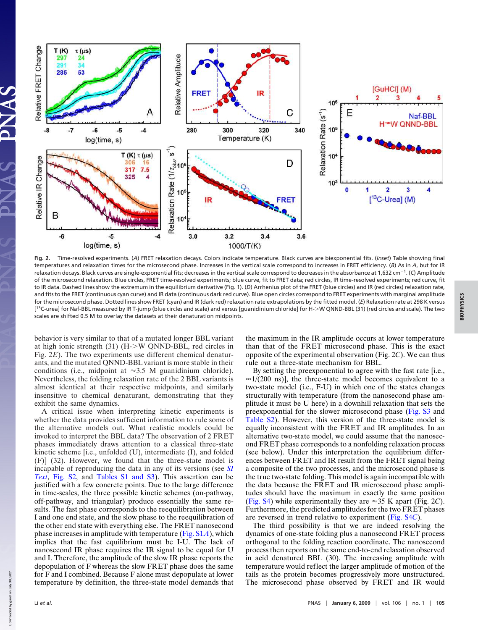

**Fig. 2.** Time-resolved experiments. (*A*) FRET relaxation decays. Colors indicate temperature. Black curves are biexponential fits. (*Inset*) Table showing final temperatures and relaxation times for the microsecond phase. Increases in the vertical scale correspond to increases in FRET efficiency. (*B*) As in *A*, but for IR relaxation decays. Black curves are single-exponential fits; decreases in the vertical scale correspond to decreases in the absorbance at 1,632 cm<sup>-1</sup>. (C) Amplitude of the microsecond relaxation. Blue circles, FRET time-resolved experiments; blue curve, fit to FRET data; red circles, IR time-resolved experiments; red curve, fit to IR data. Dashed lines show the extremum in the equilibrium derivative (Fig. 1). (*D*) Arrhenius plot of the FRET (blue circles) and IR (red circles) relaxation rate, and fits to the FRET (continuous cyan curve) and IR data (continuous dark red curve). Blue open circles correspond to FRET experiments with marginal amplitude for the microsecond phase. Dotted lines show FRET (cyan) and IR (dark red) relaxation rate extrapolations by the fitted model. (*E*) Relaxation rate at 298 K versus [<sup>13</sup>C-urea] for Naf-BBL measured by IR T-jump (blue circles and scale) and versus [guanidinium chloride] for H->W QNND-BBL (31) (red circles and scale). The two scales are shifted 0.5 M to overlay the datasets at their denaturation midpoints.

behavior is very similar to that of a mutated longer BBL variant at high ionic strength (31) (H-W QNND-BBL, red circles in Fig. 2*E*). The two experiments use different chemical denaturants, and the mutated QNND-BBL variant is more stable in their conditions (i.e., midpoint at  $\approx 3.5$  M guanidinium chloride). Nevertheless, the folding relaxation rate of the 2 BBL variants is almost identical at their respective midpoints, and similarly insensitive to chemical denaturant, demonstrating that they exhibit the same dynamics.

A critical issue when interpreting kinetic experiments is whether the data provides sufficient information to rule some of the alternative models out. What realistic models could be invoked to interpret the BBL data? The observation of 2 FRET phases immediately draws attention to a classical three-state kinetic scheme [i.e., unfolded (U), intermediate (I), and folded (F)] (32). However, we found that the three-state model is incapable of reproducing the data in any of its versions (see *SI Text*, Fig. S2, and Tables S1 and S3). This assertion can be justified with a few concrete points. Due to the large difference in time-scales, the three possible kinetic schemes (on-pathway, off-pathway, and triangular) produce essentially the same results. The fast phase corresponds to the reequilibration between I and one end state, and the slow phase to the reequilibration of the other end state with everything else. The FRET nanosecond phase increases in amplitude with temperature (Fig. S1*A*), which implies that the fast equilibrium must be I-U. The lack of nanosecond IR phase requires the IR signal to be equal for U and I. Therefore, the amplitude of the slow IR phase reports the depopulation of F whereas the slow FRET phase does the same for F and I combined. Because F alone must depopulate at lower temperature by definition, the three-state model demands that

the maximum in the IR amplitude occurs at lower temperature than that of the FRET microsecond phase. This is the exact opposite of the experimental observation (Fig. 2*C*). We can thus rule out a three-state mechanism for BBL.

By setting the preexponential to agree with the fast rate [i.e.,  $\approx$ 1/(200 ns)], the three-state model becomes equivalent to a two-state model (i.e., F-U) in which one of the states changes structurally with temperature (from the nanosecond phase amplitude it must be U here) in a downhill relaxation that sets the preexponential for the slower microsecond phase (Fig. S3 and Table S2). However, this version of the three-state model is equally inconsistent with the FRET and IR amplitudes. In an alternative two-state model, we could assume that the nanosecond FRET phase corresponds to a nonfolding relaxation process (see below). Under this interpretation the equilibrium differences between FRET and IR result from the FRET signal being a composite of the two processes, and the microsecond phase is the true two-state folding. This model is again incompatible with the data because the FRET and IR microsecond phase amplitudes should have the maximum in exactly the same position (Fig. S4) while experimentally they are  $\approx$  35 K apart (Fig. 2*C*). Furthermore, the predicted amplitudes for the two FRET phases are reversed in trend relative to experiment (Fig. S4*C*).

The third possibility is that we are indeed resolving the dynamics of one-state folding plus a nanosecond FRET process orthogonal to the folding reaction coordinate. The nanosecond process then reports on the same end-to-end relaxation observed in acid denatured BBL (30). The increasing amplitude with temperature would reflect the larger amplitude of motion of the tails as the protein becomes progressively more unstructured. The microsecond phase observed by FRET and IR would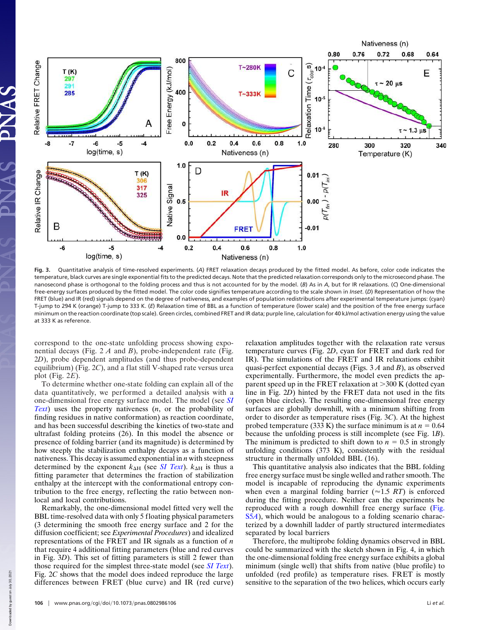

**Fig. 3.** Quantitative analysis of time-resolved experiments. (*A*) FRET relaxation decays produced by the fitted model. As before, color code indicates the temperature, black curves are single exponential fits to the predicted decays. Note that the predicted relaxation corresponds only to the microsecond phase. The nanosecond phase is orthogonal to the folding process and thus is not accounted for by the model. (*B*) As in *A*, but for IR relaxations. (*C*) One-dimensional free-energy surfaces produced by the fitted model. The color code signifies temperature according to the scale shown in *Inset*. (*D*) Representation of how the FRET (blue) and IR (red) signals depend on the degree of nativeness, and examples of population redistributions after experimental temperature jumps: (cyan) T-jump to 294 K (orange) T-jump to 333 K. (*E*) Relaxation time of BBL as a function of temperature (lower scale) and the position of the free energy surface minimum on the reaction coordinate (top scale). Green circles, combined FRET and IR data; purple line, calculation for 40 kJ/mol activation energy using the value at 333 K as reference.

correspond to the one-state unfolding process showing exponential decays (Fig. 2 *A* and *B*), probe-independent rate (Fig. 2*D*), probe dependent amplitudes (and thus probe-dependent equilibrium) (Fig. 2*C*), and a flat still V-shaped rate versus urea plot (Fig. 2*E*).

To determine whether one-state folding can explain all of the data quantitatively, we performed a detailed analysis with a one-dimensional free energy surface model. The model (see *SI Text*) uses the property nativeness (*n*, or the probability of finding residues in native conformation) as reaction coordinate, and has been successful describing the kinetics of two-state and ultrafast folding proteins (26). In this model the absence or presence of folding barrier (and its magnitude) is determined by how steeply the stabilization enthalpy decays as a function of nativeness. This decay is assumed exponential in *n* with steepness determined by the exponent  $k_{\text{AH}}$  (see *SI Text*).  $k_{\text{AH}}$  is thus a fitting parameter that determines the fraction of stabilization enthalpy at the intercept with the conformational entropy contribution to the free energy, reflecting the ratio between nonlocal and local contributions.

Remarkably, the one-dimensional model fitted very well the BBL time-resolved data with only 5 floating physical parameters (3 determining the smooth free energy surface and 2 for the diffusion coefficient; see *Experimental Procedures*) and idealized representations of the FRET and IR signals as a function of *n* that require 4 additional fitting parameters (blue and red curves in Fig. 3*D*). This set of fitting parameters is still 2 fewer than those required for the simplest three-state model (see *SI Text*). Fig. 2*C* shows that the model does indeed reproduce the large differences between FRET (blue curve) and IR (red curve) relaxation amplitudes together with the relaxation rate versus temperature curves (Fig. 2*D*, cyan for FRET and dark red for IR). The simulations of the FRET and IR relaxations exhibit quasi-perfect exponential decays (Figs. 3 *A* and *B*), as observed experimentally. Furthermore, the model even predicts the apparent speed up in the FRET relaxation at  $>300$  K (dotted cyan line in Fig. 2*D*) hinted by the FRET data not used in the fits (open blue circles). The resulting one-dimensional free energy surfaces are globally downhill, with a minimum shifting from order to disorder as temperature rises (Fig. 3*C*). At the highest probed temperature (333 K) the surface minimum is at  $n = 0.64$ because the unfolding process is still incomplete (see Fig. 1*B*). The minimum is predicted to shift down to  $n = 0.5$  in strongly unfolding conditions (373 K), consistently with the residual structure in thermally unfolded BBL (16).

This quantitative analysis also indicates that the BBL folding free energy surface must be single welled and rather smooth. The model is incapable of reproducing the dynamic experiments when even a marginal folding barrier ( $\approx$ 1.5 *RT*) is enforced during the fitting procedure. Neither can the experiments be reproduced with a rough downhill free energy surface (Fig. S5*A*), which would be analogous to a folding scenario characterized by a downhill ladder of partly structured intermediates separated by local barriers

Therefore, the multiprobe folding dynamics observed in BBL could be summarized with the sketch shown in Fig. 4, in which the one-dimensional folding free energy surface exhibits a global minimum (single well) that shifts from native (blue profile) to unfolded (red profile) as temperature rises. FRET is mostly sensitive to the separation of the two helices, which occurs early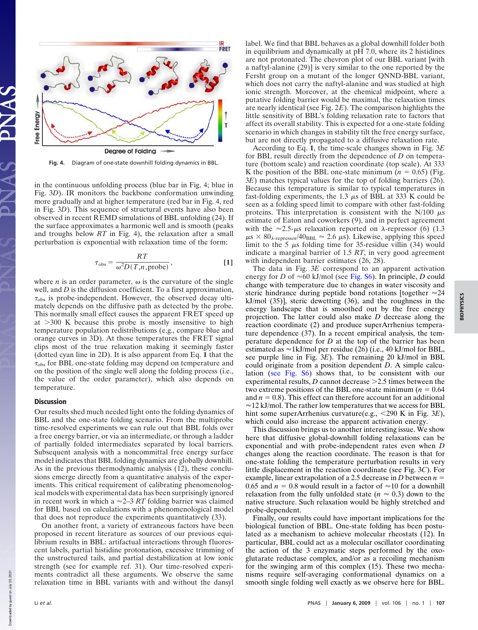

**Fig. 4.** Diagram of one-state downhill folding dynamics in BBL.

in the continuous unfolding process (blue bar in Fig. 4; blue in Fig. 3*D*). IR monitors the backbone conformation unwinding more gradually and at higher temperature (red bar in Fig. 4, red in Fig. 3*D*). This sequence of structural events have also been observed in recent REMD simulations of BBL unfolding (24). If the surface approximates a harmonic well and is smooth (peaks and troughs below *RT* in Fig. 4), the relaxation after a small perturbation is exponential with relaxation time of the form:

$$
\tau_{\rm obs} = \frac{RT}{\omega^2 D(T, n, \text{probe})},
$$
 [1]

where  $n$  is an order parameter,  $\omega$  is the curvature of the single well, and *D* is the diffusion coefficient. To a first approximation,  $\tau_{\rm obs}$  is probe-independent. However, the observed decay ultimately depends on the diffusive path as detected by the probe. This normally small effect causes the apparent FRET speed up at  $>300$  K because this probe is mostly insensitive to high temperature population redistributions (e.g., compare blue and orange curves in 3D). At those temperatures the FRET signal clips most of the true relaxation making it seemingly faster (dotted cyan line in 2D). It is also apparent from Eq. **1** that the  $\tau_{\rm obs}$  for BBL one-state folding may depend on temperature and on the position of the single well along the folding process (i.e., the value of the order parameter), which also depends on temperature.

## **Discussion**

Our results shed much needed light onto the folding dynamics of BBL and the one-state folding scenario. From the multiprobe time-resolved experiments we can rule out that BBL folds over a free energy barrier, or via an intermediate, or through a ladder of partially folded intermediates separated by local barriers. Subsequent analysis with a noncommittal free energy surface model indicates that BBL folding dynamics are globally downhill. As in the previous thermodynamic analysis (12), these conclusions emerge directly from a quantitative analysis of the experiments. This critical requirement of calibrating phenomenological models with experimental data has been surprisingly ignored in recent work in which a  $\approx$  2–3 *RT* folding barrier was claimed for BBL based on calculations with a phenomenological model that does not reproduce the experiments quantitatively (33).

On another front, a variety of extraneous factors have been proposed in recent literature as sources of our previous equilibrium results in BBL: artifactual interactions through fluorescent labels, partial histidine protonation, excessive trimming of the unstructured tails, and partial destabilization at low ionic strength (see for example ref. 31). Our time-resolved experiments contradict all these arguments. We observe the same relaxation time in BBL variants with and without the dansyl

label. We find that BBL behaves as a global downhill folder both in equilibrium and dynamically at pH 7.0, where its 2 histidines are not protonated. The chevron plot of our BBL variant [with a naftyl-alanine (29)] is very similar to the one reported by the Fersht group on a mutant of the longer QNND-BBL variant, which does not carry the naftyl-alanine and was studied at high ionic strength. Moreover, at the chemical midpoint, where a putative folding barrier would be maximal, the relaxation times are nearly identical (see Fig. 2*E*). The comparison highlights the little sensitivity of BBL's folding relaxation rate to factors that affect its overall stability. This is expected for a one-state folding scenario in which changes in stability tilt the free energy surface, but are not directly propagated to a diffusive relaxation rate.

According to Eq. **1**, the time-scale changes shown in Fig. 3*E* for BBL result directly from the dependence of *D* on temperature (bottom scale) and reaction coordinate (top scale). At 333 K the position of the BBL one-state minimum  $(n = 0.65)$  (Fig. 3*E*) matches typical values for the top of folding barriers (26). Because this temperature is similar to typical temperatures in fast-folding experiments, the  $1.3 \mu s$  of BBL at 333 K could be seen as a folding speed limit to compare with other fast-folding proteins. This interpretation is consistent with the  $N/100 \mu s$ estimate of Eaton and coworkers (9), and in perfect agreement with the  $\approx$ 2.5- $\mu$ s relaxation reported on  $\lambda$ -repressor (6) (1.3  $\mu$ s × 80<sub> $\lambda$ -repressor</sub>/40<sub>BBL</sub>  $\approx$  2.6  $\mu$ s). Likewise, applying this speed limit to the 5  $\mu$ s folding time for 35-residue villin (34) would indicate a marginal barrier of 1.5 *RT*, in very good agreement with independent barrier estimates (26, 28).

The data in Fig. 3*E* correspond to an apparent activation energy for *D* of  $\approx 60$  kJ/mol (see Fig. S6). In principle, *D* could change with temperature due to changes in water viscosity and steric hindrance during peptide bond rotations [together  $\approx 24$ ] kJ/mol (35)], steric dewetting (36), and the roughness in the energy landscape that is smoothed out by the free energy projection. The latter could also make *D* decrease along the reaction coordinate (2) and produce superArrhenius temperature dependence (37). In a recent empirical analysis, the temperature dependence for *D* at the top of the barrier has been estimated as  $\approx$ 1kJ/mol per residue (26) (i.e., 40 kJ/mol for BBL, see purple line in Fig. 3*E*). The remaining 20 kJ/mol in BBL could originate from a position dependent *D*. A simple calculation (see Fig. S6) shows that, to be consistent with our experimental results,  $D$  cannot decrease  $>2.5$  times between the two extreme positions of the BBL one-state minimum  $(n = 0.64)$ and  $n = 0.8$ ). This effect can therefore account for an additional  $\approx$ 12 kJ/mol. The rather low temperatures that we access for BBL hint some superArrhenius curvature(e.g., <290 K in Fig. 3*E*), which could also increase the apparent activation energy.

This discussion brings us to another interesting issue. We show here that diffusive global-downhill folding relaxations can be exponential and with probe-independent rates even when *D* changes along the reaction coordinate. The reason is that for one-state folding the temperature perturbation results in very little displacement in the reaction coordinate (see Fig. 3*C*). For example, linear extrapolation of a 2.5 decrease in  $D$  between  $n =$ 0.65 and  $n = 0.8$  would result in a factor of  $\approx 10$  for a downhill relaxation from the fully unfolded state ( $n \approx 0.3$ ) down to the native structure. Such relaxation would be highly stretched and probe-dependent.

Finally, our results could have important implications for the biological function of BBL. One-state folding has been postulated as a mechanism to achieve molecular rheostats (12). In particular, BBL could act as a molecular oscillator coordinating the action of the 3 enzymatic steps performed by the oxoglutarate reductase complex, and/or as a recoiling mechanism for the swinging arm of this complex (15). These two mechanisms require self-averaging conformational dynamics on a smooth single folding well exactly as we observe here for BBL.